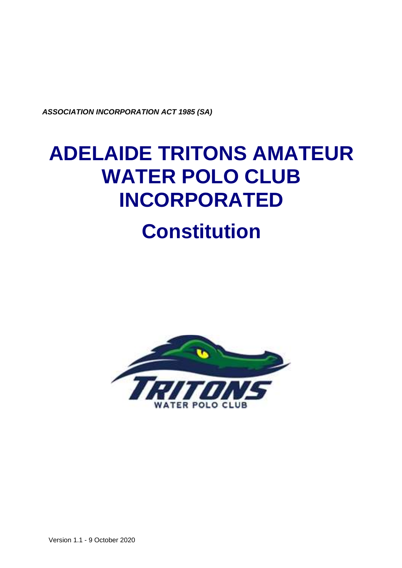*ASSOCIATION INCORPORATION ACT 1985 (SA)*

# **ADELAIDE TRITONS AMATEUR WATER POLO CLUB INCORPORATED Constitution**



Version 1.1 - 9 October 2020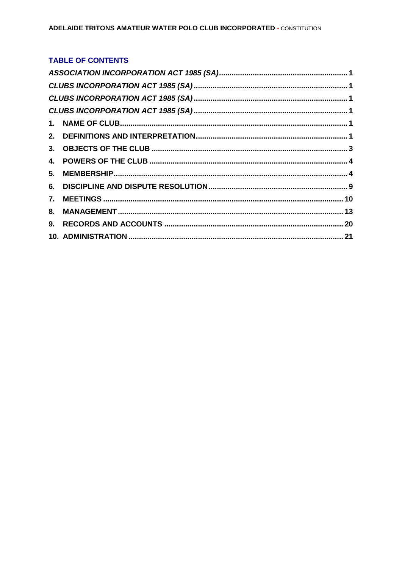# TABLE OF CONTENTS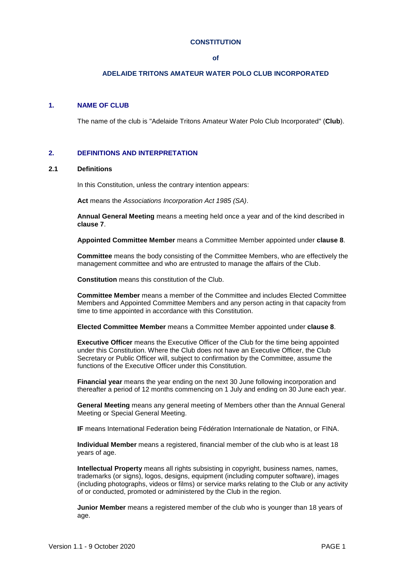#### **CONSTITUTION**

#### **of**

## **ADELAIDE TRITONS AMATEUR WATER POLO CLUB INCORPORATED**

## <span id="page-2-0"></span>**1. NAME OF CLUB**

The name of the club is "Adelaide Tritons Amateur Water Polo Club Incorporated" (**Club**).

## <span id="page-2-1"></span>**2. DEFINITIONS AND INTERPRETATION**

## **2.1 Definitions**

In this Constitution, unless the contrary intention appears:

**Act** means the *Associations Incorporation Act 1985 (SA)*.

**Annual General Meeting** means a meeting held once a year and of the kind described in **clause 7**.

**Appointed Committee Member** means a Committee Member appointed under **clause 8**.

**Committee** means the body consisting of the Committee Members, who are effectively the management committee and who are entrusted to manage the affairs of the Club.

**Constitution** means this constitution of the Club.

**Committee Member** means a member of the Committee and includes Elected Committee Members and Appointed Committee Members and any person acting in that capacity from time to time appointed in accordance with this Constitution.

**Elected Committee Member** means a Committee Member appointed under **clause 8**.

**Executive Officer** means the Executive Officer of the Club for the time being appointed under this Constitution. Where the Club does not have an Executive Officer, the Club Secretary or Public Officer will, subject to confirmation by the Committee, assume the functions of the Executive Officer under this Constitution.

**Financial year** means the year ending on the next 30 June following incorporation and thereafter a period of 12 months commencing on 1 July and ending on 30 June each year.

**General Meeting** means any general meeting of Members other than the Annual General Meeting or Special General Meeting.

**IF** means International Federation being Fédération Internationale de Natation, or FINA.

**Individual Member** means a registered, financial member of the club who is at least 18 years of age.

**Intellectual Property** means all rights subsisting in copyright, business names, names, trademarks (or signs), logos, designs, equipment (including computer software), images (including photographs, videos or films) or service marks relating to the Club or any activity of or conducted, promoted or administered by the Club in the region.

**Junior Member** means a registered member of the club who is younger than 18 years of age.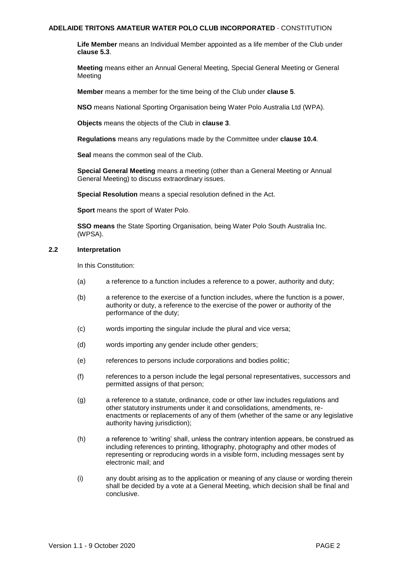**Life Member** means an Individual Member appointed as a life member of the Club under **clause 5.3**.

**Meeting** means either an Annual General Meeting, Special General Meeting or General Meeting

**Member** means a member for the time being of the Club under **clause [5](#page-5-1)**.

**NSO** means National Sporting Organisation being Water Polo Australia Ltd (WPA).

**Objects** means the objects of the Club in **clause 3**.

**Regulations** means any regulations made by the Committee under **clause 10.4**.

**Seal** means the common seal of the Club.

**Special General Meeting** means a meeting (other than a General Meeting or Annual General Meeting) to discuss extraordinary issues.

**Special Resolution** means a special resolution defined in the Act.

**Sport** means the sport of Water Polo.

**SSO means** the State Sporting Organisation, being Water Polo South Australia Inc. (WPSA).

## **2.2 Interpretation**

In this Constitution:

- (a) a reference to a function includes a reference to a power, authority and duty;
- (b) a reference to the exercise of a function includes, where the function is a power, authority or duty, a reference to the exercise of the power or authority of the performance of the duty;
- (c) words importing the singular include the plural and vice versa;
- (d) words importing any gender include other genders;
- (e) references to persons include corporations and bodies politic;
- (f) references to a person include the legal personal representatives, successors and permitted assigns of that person;
- (g) a reference to a statute, ordinance, code or other law includes regulations and other statutory instruments under it and consolidations, amendments, reenactments or replacements of any of them (whether of the same or any legislative authority having jurisdiction);
- (h) a reference to 'writing' shall, unless the contrary intention appears, be construed as including references to printing, lithography, photography and other modes of representing or reproducing words in a visible form, including messages sent by electronic mail; and
- (i) any doubt arising as to the application or meaning of any clause or wording therein shall be decided by a vote at a General Meeting, which decision shall be final and conclusive.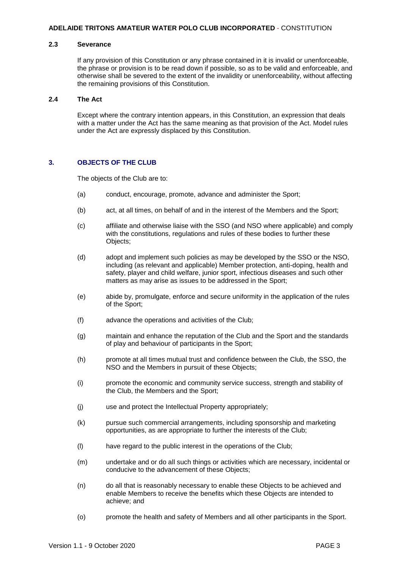#### **2.3 Severance**

If any provision of this Constitution or any phrase contained in it is invalid or unenforceable, the phrase or provision is to be read down if possible, so as to be valid and enforceable, and otherwise shall be severed to the extent of the invalidity or unenforceability, without affecting the remaining provisions of this Constitution.

## **2.4 The Act**

Except where the contrary intention appears, in this Constitution, an expression that deals with a matter under the Act has the same meaning as that provision of the Act. Model rules under the Act are expressly displaced by this Constitution.

## <span id="page-4-0"></span>**3. OBJECTS OF THE CLUB**

The objects of the Club are to:

- (a) conduct, encourage, promote, advance and administer the Sport;
- (b) act, at all times, on behalf of and in the interest of the Members and the Sport;
- (c) affiliate and otherwise liaise with the SSO (and NSO where applicable) and comply with the constitutions, regulations and rules of these bodies to further these Objects;
- (d) adopt and implement such policies as may be developed by the SSO or the NSO, including (as relevant and applicable) Member protection, anti-doping, health and safety, player and child welfare, junior sport, infectious diseases and such other matters as may arise as issues to be addressed in the Sport;
- (e) abide by, promulgate, enforce and secure uniformity in the application of the rules of the Sport;
- (f) advance the operations and activities of the Club;
- (g) maintain and enhance the reputation of the Club and the Sport and the standards of play and behaviour of participants in the Sport;
- (h) promote at all times mutual trust and confidence between the Club, the SSO, the NSO and the Members in pursuit of these Objects;
- (i) promote the economic and community service success, strength and stability of the Club, the Members and the Sport;
- (j) use and protect the Intellectual Property appropriately;
- (k) pursue such commercial arrangements, including sponsorship and marketing opportunities, as are appropriate to further the interests of the Club;
- (l) have regard to the public interest in the operations of the Club;
- (m) undertake and or do all such things or activities which are necessary, incidental or conducive to the advancement of these Objects;
- (n) do all that is reasonably necessary to enable these Objects to be achieved and enable Members to receive the benefits which these Objects are intended to achieve; and
- (o) promote the health and safety of Members and all other participants in the Sport.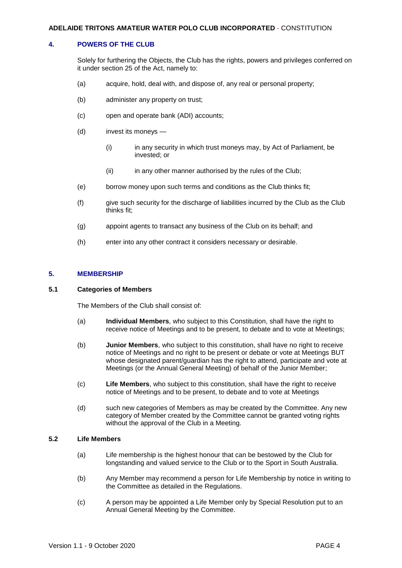## <span id="page-5-0"></span>**4. POWERS OF THE CLUB**

Solely for furthering the Objects, the Club has the rights, powers and privileges conferred on it under section 25 of the Act, namely to:

- (a) acquire, hold, deal with, and dispose of, any real or personal property;
- (b) administer any property on trust;
- (c) open and operate bank (ADI) accounts;
- (d) invest its moneys
	- (i) in any security in which trust moneys may, by Act of Parliament, be invested; or
	- (ii) in any other manner authorised by the rules of the Club;
- (e) borrow money upon such terms and conditions as the Club thinks fit;
- (f) give such security for the discharge of liabilities incurred by the Club as the Club thinks fit;
- (g) appoint agents to transact any business of the Club on its behalf; and
- (h) enter into any other contract it considers necessary or desirable.

## <span id="page-5-1"></span>**5. MEMBERSHIP**

## **5.1 Categories of Members**

The Members of the Club shall consist of:

- (a) **Individual Members**, who subject to this Constitution, shall have the right to receive notice of Meetings and to be present, to debate and to vote at Meetings;
- (b) **Junior Members**, who subject to this constitution, shall have no right to receive notice of Meetings and no right to be present or debate or vote at Meetings BUT whose designated parent/guardian has the right to attend, participate and vote at Meetings (or the Annual General Meeting) of behalf of the Junior Member;
- (c) **Life Members**, who subject to this constitution, shall have the right to receive notice of Meetings and to be present, to debate and to vote at Meetings
- (d) such new categories of Members as may be created by the Committee. Any new category of Member created by the Committee cannot be granted voting rights without the approval of the Club in a Meeting.

## **5.2 Life Members**

- (a) Life membership is the highest honour that can be bestowed by the Club for longstanding and valued service to the Club or to the Sport in South Australia.
- (b) Any Member may recommend a person for Life Membership by notice in writing to the Committee as detailed in the Regulations.
- (c) A person may be appointed a Life Member only by Special Resolution put to an Annual General Meeting by the Committee.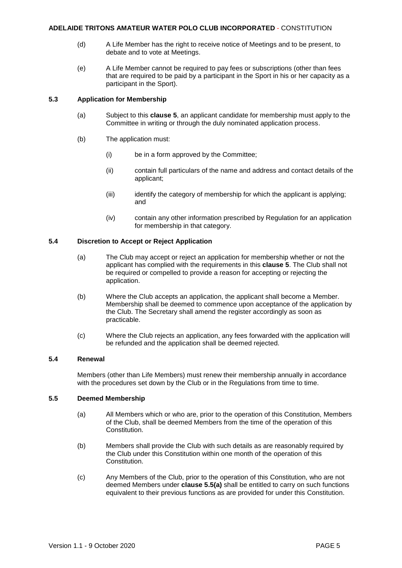- (d) A Life Member has the right to receive notice of Meetings and to be present, to debate and to vote at Meetings.
- (e) A Life Member cannot be required to pay fees or subscriptions (other than fees that are required to be paid by a participant in the Sport in his or her capacity as a participant in the Sport).

## **5.3 Application for Membership**

- (a) Subject to this **clause 5**, an applicant candidate for membership must apply to the Committee in writing or through the duly nominated application process.
- (b) The application must:
	- (i) be in a form approved by the Committee;
	- (ii) contain full particulars of the name and address and contact details of the applicant;
	- (iii) identify the category of membership for which the applicant is applying; and
	- (iv) contain any other information prescribed by Regulation for an application for membership in that category.

## **5.4 Discretion to Accept or Reject Application**

- (a) The Club may accept or reject an application for membership whether or not the applicant has complied with the requirements in this **clause 5**. The Club shall not be required or compelled to provide a reason for accepting or rejecting the application.
- (b) Where the Club accepts an application, the applicant shall become a Member. Membership shall be deemed to commence upon acceptance of the application by the Club. The Secretary shall amend the register accordingly as soon as practicable.
- (c) Where the Club rejects an application, any fees forwarded with the application will be refunded and the application shall be deemed rejected.

## **5.4 Renewal**

Members (other than Life Members) must renew their membership annually in accordance with the procedures set down by the Club or in the Regulations from time to time.

## <span id="page-6-0"></span>**5.5 Deemed Membership**

- (a) All Members which or who are, prior to the operation of this Constitution, Members of the Club, shall be deemed Members from the time of the operation of this Constitution.
- (b) Members shall provide the Club with such details as are reasonably required by the Club under this Constitution within one month of the operation of this Constitution.
- (c) Any Members of the Club, prior to the operation of this Constitution, who are not deemed Members under **clause 5.[5\(a\)](#page-6-0)** shall be entitled to carry on such functions equivalent to their previous functions as are provided for under this Constitution.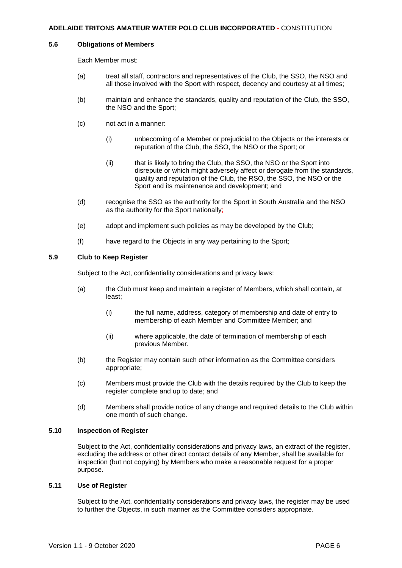#### **5.6 Obligations of Members**

Each Member must:

- (a) treat all staff, contractors and representatives of the Club, the SSO, the NSO and all those involved with the Sport with respect, decency and courtesy at all times;
- (b) maintain and enhance the standards, quality and reputation of the Club, the SSO, the NSO and the Sport;
- (c) not act in a manner:
	- (i) unbecoming of a Member or prejudicial to the Objects or the interests or reputation of the Club, the SSO, the NSO or the Sport; or
	- (ii) that is likely to bring the Club, the SSO, the NSO or the Sport into disrepute or which might adversely affect or derogate from the standards, quality and reputation of the Club, the RSO, the SSO, the NSO or the Sport and its maintenance and development; and
- (d) recognise the SSO as the authority for the Sport in South Australia and the NSO as the authority for the Sport nationally;
- (e) adopt and implement such policies as may be developed by the Club;
- (f) have regard to the Objects in any way pertaining to the Sport;

## **5.9 Club to Keep Register**

Subject to the Act, confidentiality considerations and privacy laws:

- (a) the Club must keep and maintain a register of Members, which shall contain, at least;
	- (i) the full name, address, category of membership and date of entry to membership of each Member and Committee Member; and
	- (ii) where applicable, the date of termination of membership of each previous Member.
- (b) the Register may contain such other information as the Committee considers appropriate;
- (c) Members must provide the Club with the details required by the Club to keep the register complete and up to date; and
- (d) Members shall provide notice of any change and required details to the Club within one month of such change.

#### **5.10 Inspection of Register**

Subject to the Act, confidentiality considerations and privacy laws, an extract of the register, excluding the address or other direct contact details of any Member, shall be available for inspection (but not copying) by Members who make a reasonable request for a proper purpose.

#### **5.11 Use of Register**

Subject to the Act, confidentiality considerations and privacy laws, the register may be used to further the Objects, in such manner as the Committee considers appropriate.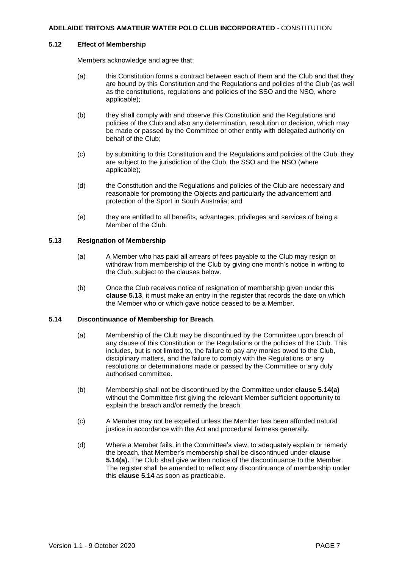#### **5.12 Effect of Membership**

Members acknowledge and agree that:

- (a) this Constitution forms a contract between each of them and the Club and that they are bound by this Constitution and the Regulations and policies of the Club (as well as the constitutions, regulations and policies of the SSO and the NSO, where applicable);
- (b) they shall comply with and observe this Constitution and the Regulations and policies of the Club and also any determination, resolution or decision, which may be made or passed by the Committee or other entity with delegated authority on behalf of the Club;
- (c) by submitting to this Constitution and the Regulations and policies of the Club, they are subject to the jurisdiction of the Club, the SSO and the NSO (where applicable);
- (d) the Constitution and the Regulations and policies of the Club are necessary and reasonable for promoting the Objects and particularly the advancement and protection of the Sport in South Australia; and
- (e) they are entitled to all benefits, advantages, privileges and services of being a Member of the Club.

## **5.13 Resignation of Membership**

- (a) A Member who has paid all arrears of fees payable to the Club may resign or withdraw from membership of the Club by giving one month's notice in writing to the Club, subject to the clauses below.
- (b) Once the Club receives notice of resignation of membership given under this **clause 5.13**, it must make an entry in the register that records the date on which the Member who or which gave notice ceased to be a Member.

## <span id="page-8-0"></span>**5.14 Discontinuance of Membership for Breach**

- (a) Membership of the Club may be discontinued by the Committee upon breach of any clause of this Constitution or the Regulations or the policies of the Club. This includes, but is not limited to, the failure to pay any monies owed to the Club, disciplinary matters, and the failure to comply with the Regulations or any resolutions or determinations made or passed by the Committee or any duly authorised committee.
- (b) Membership shall not be discontinued by the Committee under **clause 5.1[4\(a\)](#page-8-0)** without the Committee first giving the relevant Member sufficient opportunity to explain the breach and/or remedy the breach.
- (c) A Member may not be expelled unless the Member has been afforded natural justice in accordance with the Act and procedural fairness generally.
- (d) Where a Member fails, in the Committee's view, to adequately explain or remedy the breach, that Member's membership shall be discontinued under **clause 5.1[4\(a\).](#page-8-0)** The Club shall give written notice of the discontinuance to the Member. The register shall be amended to reflect any discontinuance of membership under this **clause 5.14** as soon as practicable.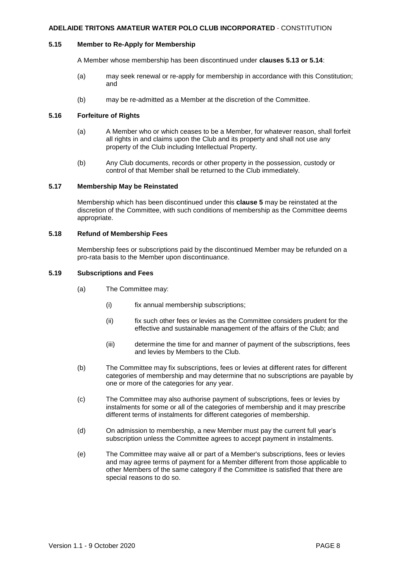## **5.15 Member to Re-Apply for Membership**

A Member whose membership has been discontinued under **clauses 5.13 or 5.14**:

- (a) may seek renewal or re-apply for membership in accordance with this Constitution; and
- (b) may be re-admitted as a Member at the discretion of the Committee.

## **5.16 Forfeiture of Rights**

- (a) A Member who or which ceases to be a Member, for whatever reason, shall forfeit all rights in and claims upon the Club and its property and shall not use any property of the Club including Intellectual Property.
- (b) Any Club documents, records or other property in the possession, custody or control of that Member shall be returned to the Club immediately.

## **5.17 Membership May be Reinstated**

Membership which has been discontinued under this **clause 5** may be reinstated at the discretion of the Committee, with such conditions of membership as the Committee deems appropriate.

## **5.18 Refund of Membership Fees**

Membership fees or subscriptions paid by the discontinued Member may be refunded on a pro-rata basis to the Member upon discontinuance.

## **5.19 Subscriptions and Fees**

- (a) The Committee may:
	- (i) fix annual membership subscriptions;
	- (ii) fix such other fees or levies as the Committee considers prudent for the effective and sustainable management of the affairs of the Club; and
	- (iii) determine the time for and manner of payment of the subscriptions, fees and levies by Members to the Club.
- (b) The Committee may fix subscriptions, fees or levies at different rates for different categories of membership and may determine that no subscriptions are payable by one or more of the categories for any year.
- (c) The Committee may also authorise payment of subscriptions, fees or levies by instalments for some or all of the categories of membership and it may prescribe different terms of instalments for different categories of membership.
- (d) On admission to membership, a new Member must pay the current full year's subscription unless the Committee agrees to accept payment in instalments.
- (e) The Committee may waive all or part of a Member's subscriptions, fees or levies and may agree terms of payment for a Member different from those applicable to other Members of the same category if the Committee is satisfied that there are special reasons to do so.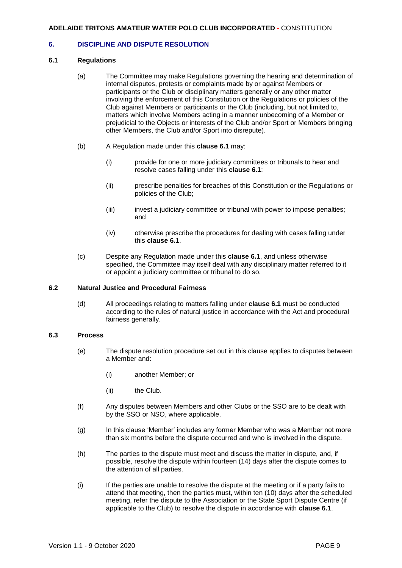## <span id="page-10-0"></span>**6. DISCIPLINE AND DISPUTE RESOLUTION**

## **6.1 Regulations**

- (a) The Committee may make Regulations governing the hearing and determination of internal disputes, protests or complaints made by or against Members or participants or the Club or disciplinary matters generally or any other matter involving the enforcement of this Constitution or the Regulations or policies of the Club against Members or participants or the Club (including, but not limited to, matters which involve Members acting in a manner unbecoming of a Member or prejudicial to the Objects or interests of the Club and/or Sport or Members bringing other Members, the Club and/or Sport into disrepute).
- (b) A Regulation made under this **clause 6.1** may:
	- (i) provide for one or more judiciary committees or tribunals to hear and resolve cases falling under this **clause 6.1**;
	- (ii) prescribe penalties for breaches of this Constitution or the Regulations or policies of the Club;
	- (iii) invest a judiciary committee or tribunal with power to impose penalties; and
	- (iv) otherwise prescribe the procedures for dealing with cases falling under this **clause 6.1**.
- (c) Despite any Regulation made under this **clause 6.1**, and unless otherwise specified, the Committee may itself deal with any disciplinary matter referred to it or appoint a judiciary committee or tribunal to do so.

## **6.2 Natural Justice and Procedural Fairness**

(d) All proceedings relating to matters falling under **clause 6.1** must be conducted according to the rules of natural justice in accordance with the Act and procedural fairness generally.

## **6.3 Process**

- (e) The dispute resolution procedure set out in this clause applies to disputes between a Member and:
	- (i) another Member; or
	- (ii) the Club.
- (f) Any disputes between Members and other Clubs or the SSO are to be dealt with by the SSO or NSO, where applicable.
- (g) In this clause 'Member' includes any former Member who was a Member not more than six months before the dispute occurred and who is involved in the dispute.
- (h) The parties to the dispute must meet and discuss the matter in dispute, and, if possible, resolve the dispute within fourteen (14) days after the dispute comes to the attention of all parties.
- (i) If the parties are unable to resolve the dispute at the meeting or if a party fails to attend that meeting, then the parties must, within ten (10) days after the scheduled meeting, refer the dispute to the Association or the State Sport Dispute Centre (if applicable to the Club) to resolve the dispute in accordance with **clause 6.1**.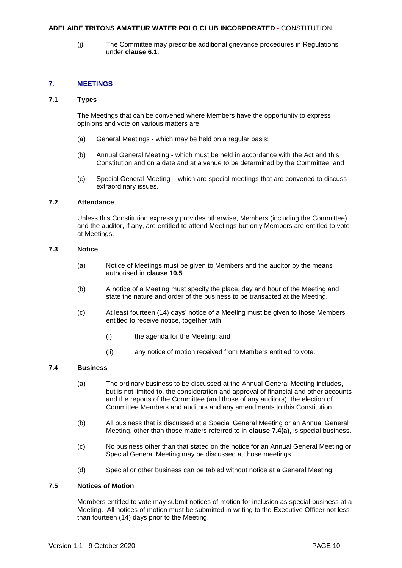(j) The Committee may prescribe additional grievance procedures in Regulations under **clause 6.1**.

## <span id="page-11-0"></span>**7. MEETINGS**

## **7.1 Types**

The Meetings that can be convened where Members have the opportunity to express opinions and vote on various matters are:

- (a) General Meetings which may be held on a regular basis;
- (b) Annual General Meeting which must be held in accordance with the Act and this Constitution and on a date and at a venue to be determined by the Committee; and
- (c) Special General Meeting which are special meetings that are convened to discuss extraordinary issues.

#### **7.2 Attendance**

Unless this Constitution expressly provides otherwise, Members (including the Committee) and the auditor, if any, are entitled to attend Meetings but only Members are entitled to vote at Meetings.

## **7.3 Notice**

- (a) Notice of Meetings must be given to Members and the auditor by the means authorised in **clause 10.5**.
- (b) A notice of a Meeting must specify the place, day and hour of the Meeting and state the nature and order of the business to be transacted at the Meeting.
- (c) At least fourteen (14) days' notice of a Meeting must be given to those Members entitled to receive notice, together with:
	- (i) the agenda for the Meeting; and
	- (ii) any notice of motion received from Members entitled to vote.

## **7.4 Business**

- (a) The ordinary business to be discussed at the Annual General Meeting includes, but is not limited to, the consideration and approval of financial and other accounts and the reports of the Committee (and those of any auditors), the election of Committee Members and auditors and any amendments to this Constitution.
- (b) All business that is discussed at a Special General Meeting or an Annual General Meeting, other than those matters referred to in **clause 7.4(a)**, is special business.
- (c) No business other than that stated on the notice for an Annual General Meeting or Special General Meeting may be discussed at those meetings.
- (d) Special or other business can be tabled without notice at a General Meeting.

## **7.5 Notices of Motion**

Members entitled to vote may submit notices of motion for inclusion as special business at a Meeting. All notices of motion must be submitted in writing to the Executive Officer not less than fourteen (14) days prior to the Meeting.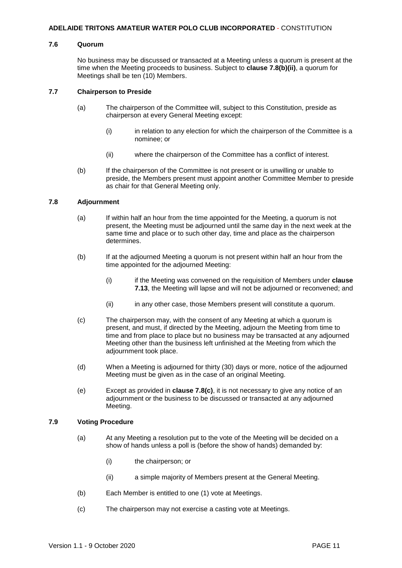#### **7.6 Quorum**

No business may be discussed or transacted at a Meeting unless a quorum is present at the time when the Meeting proceeds to business. Subject to **clause 7.8(b)(ii)**, a quorum for Meetings shall be ten (10) Members.

#### **7.7 Chairperson to Preside**

- (a) The chairperson of the Committee will, subject to this Constitution, preside as chairperson at every General Meeting except:
	- (i) in relation to any election for which the chairperson of the Committee is a nominee; or
	- (ii) where the chairperson of the Committee has a conflict of interest.
- (b) If the chairperson of the Committee is not present or is unwilling or unable to preside, the Members present must appoint another Committee Member to preside as chair for that General Meeting only.

#### **7.8 Adjournment**

- (a) If within half an hour from the time appointed for the Meeting, a quorum is not present, the Meeting must be adjourned until the same day in the next week at the same time and place or to such other day, time and place as the chairperson determines.
- (b) If at the adjourned Meeting a quorum is not present within half an hour from the time appointed for the adjourned Meeting:
	- (i) if the Meeting was convened on the requisition of Members under **clause 7.13**, the Meeting will lapse and will not be adjourned or reconvened; and
	- (ii) in any other case, those Members present will constitute a quorum.
- (c) The chairperson may, with the consent of any Meeting at which a quorum is present, and must, if directed by the Meeting, adjourn the Meeting from time to time and from place to place but no business may be transacted at any adjourned Meeting other than the business left unfinished at the Meeting from which the adjournment took place.
- (d) When a Meeting is adjourned for thirty (30) days or more, notice of the adjourned Meeting must be given as in the case of an original Meeting.
- (e) Except as provided in **clause 7.8(c)**, it is not necessary to give any notice of an adjournment or the business to be discussed or transacted at any adjourned Meeting.

## **7.9 Voting Procedure**

- (a) At any Meeting a resolution put to the vote of the Meeting will be decided on a show of hands unless a poll is (before the show of hands) demanded by:
	- (i) the chairperson; or
	- (ii) a simple majority of Members present at the General Meeting.
- (b) Each Member is entitled to one (1) vote at Meetings.
- (c) The chairperson may not exercise a casting vote at Meetings.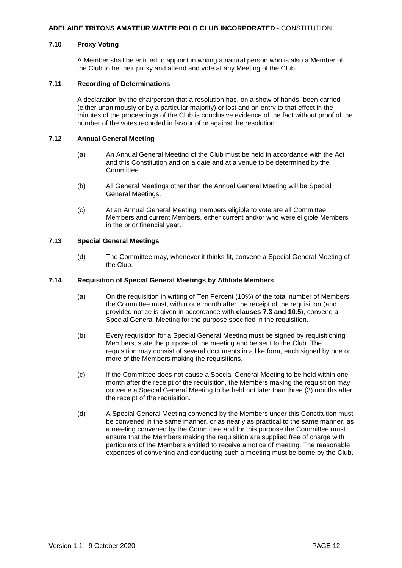## **7.10 Proxy Voting**

A Member shall be entitled to appoint in writing a natural person who is also a Member of the Club to be their proxy and attend and vote at any Meeting of the Club.

## **7.11 Recording of Determinations**

A declaration by the chairperson that a resolution has, on a show of hands, been carried (either unanimously or by a particular majority) or lost and an entry to that effect in the minutes of the proceedings of the Club is conclusive evidence of the fact without proof of the number of the votes recorded in favour of or against the resolution.

## **7.12 Annual General Meeting**

- (a) An Annual General Meeting of the Club must be held in accordance with the Act and this Constitution and on a date and at a venue to be determined by the Committee.
- (b) All General Meetings other than the Annual General Meeting will be Special General Meetings.
- (c) At an Annual General Meeting members eligible to vote are all Committee Members and current Members, either current and/or who were eligible Members in the prior financial year.

## **7.13 Special General Meetings**

(d) The Committee may, whenever it thinks fit, convene a Special General Meeting of the Club.

## **7.14 Requisition of Special General Meetings by Affiliate Members**

- (a) On the requisition in writing of Ten Percent (10%) of the total number of Members, the Committee must, within one month after the receipt of the requisition (and provided notice is given in accordance with **clauses 7.3 and 10.5**), convene a Special General Meeting for the purpose specified in the requisition.
- (b) Every requisition for a Special General Meeting must be signed by requisitioning Members, state the purpose of the meeting and be sent to the Club. The requisition may consist of several documents in a like form, each signed by one or more of the Members making the requisitions.
- (c) If the Committee does not cause a Special General Meeting to be held within one month after the receipt of the requisition, the Members making the requisition may convene a Special General Meeting to be held not later than three (3) months after the receipt of the requisition.
- (d) A Special General Meeting convened by the Members under this Constitution must be convened in the same manner, or as nearly as practical to the same manner, as a meeting convened by the Committee and for this purpose the Committee must ensure that the Members making the requisition are supplied free of charge with particulars of the Members entitled to receive a notice of meeting. The reasonable expenses of convening and conducting such a meeting must be borne by the Club.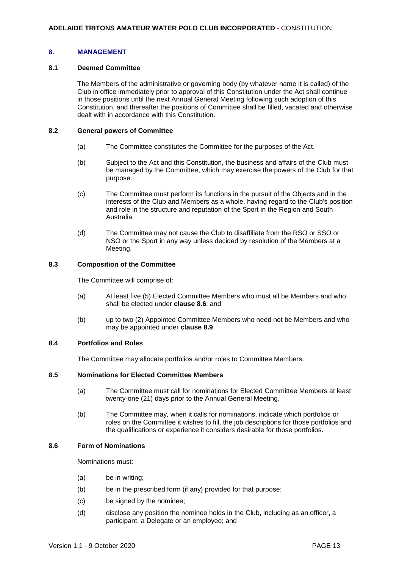## <span id="page-14-0"></span>**8. MANAGEMENT**

#### **8.1 Deemed Committee**

The Members of the administrative or governing body (by whatever name it is called) of the Club in office immediately prior to approval of this Constitution under the Act shall continue in those positions until the next Annual General Meeting following such adoption of this Constitution, and thereafter the positions of Committee shall be filled, vacated and otherwise dealt with in accordance with this Constitution.

#### **8.2 General powers of Committee**

- (a) The Committee constitutes the Committee for the purposes of the Act.
- (b) Subject to the Act and this Constitution, the business and affairs of the Club must be managed by the Committee, which may exercise the powers of the Club for that purpose.
- (c) The Committee must perform its functions in the pursuit of the Objects and in the interests of the Club and Members as a whole, having regard to the Club's position and role in the structure and reputation of the Sport in the Region and South Australia.
- (d) The Committee may not cause the Club to disaffiliate from the RSO or SSO or NSO or the Sport in any way unless decided by resolution of the Members at a Meeting.

## **8.3 Composition of the Committee**

The Committee will comprise of:

- (a) At least five (5) Elected Committee Members who must all be Members and who shall be elected under **clause 8.6**; and
- (b) up to two (2) Appointed Committee Members who need not be Members and who may be appointed under **clause 8.9**.

## **8.4 Portfolios and Roles**

The Committee may allocate portfolios and/or roles to Committee Members.

## **8.5 Nominations for Elected Committee Members**

- (a) The Committee must call for nominations for Elected Committee Members at least twenty-one (21) days prior to the Annual General Meeting.
- (b) The Committee may, when it calls for nominations, indicate which portfolios or roles on the Committee it wishes to fill, the job descriptions for those portfolios and the qualifications or experience it considers desirable for those portfolios.

## **8.6 Form of Nominations**

Nominations must:

- (a) be in writing;
- (b) be in the prescribed form (if any) provided for that purpose;
- (c) be signed by the nominee;
- (d) disclose any position the nominee holds in the Club, including as an officer, a participant, a Delegate or an employee; and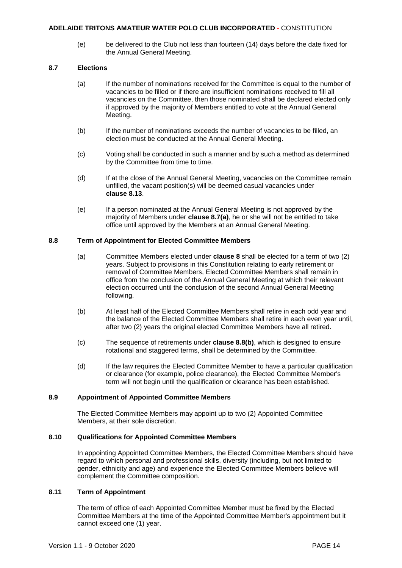(e) be delivered to the Club not less than fourteen (14) days before the date fixed for the Annual General Meeting.

## **8.7 Elections**

- (a) If the number of nominations received for the Committee is equal to the number of vacancies to be filled or if there are insufficient nominations received to fill all vacancies on the Committee, then those nominated shall be declared elected only if approved by the majority of Members entitled to vote at the Annual General Meeting.
- (b) If the number of nominations exceeds the number of vacancies to be filled, an election must be conducted at the Annual General Meeting.
- (c) Voting shall be conducted in such a manner and by such a method as determined by the Committee from time to time.
- (d) If at the close of the Annual General Meeting, vacancies on the Committee remain unfilled, the vacant position(s) will be deemed casual vacancies under **clause 8.13**.
- (e) If a person nominated at the Annual General Meeting is not approved by the majority of Members under **clause 8.7(a)**, he or she will not be entitled to take office until approved by the Members at an Annual General Meeting.

## **8.8 Term of Appointment for Elected Committee Members**

- (a) Committee Members elected under **clause 8** shall be elected for a term of two (2) years. Subject to provisions in this Constitution relating to early retirement or removal of Committee Members, Elected Committee Members shall remain in office from the conclusion of the Annual General Meeting at which their relevant election occurred until the conclusion of the second Annual General Meeting following.
- (b) At least half of the Elected Committee Members shall retire in each odd year and the balance of the Elected Committee Members shall retire in each even year until, after two (2) years the original elected Committee Members have all retired.
- (c) The sequence of retirements under **clause 8.8(b)**, which is designed to ensure rotational and staggered terms, shall be determined by the Committee.
- (d) If the law requires the Elected Committee Member to have a particular qualification or clearance (for example, police clearance), the Elected Committee Member's term will not begin until the qualification or clearance has been established.

## **8.9 Appointment of Appointed Committee Members**

The Elected Committee Members may appoint up to two (2) Appointed Committee Members, at their sole discretion.

## **8.10 Qualifications for Appointed Committee Members**

In appointing Appointed Committee Members, the Elected Committee Members should have regard to which personal and professional skills, diversity (including, but not limited to gender, ethnicity and age) and experience the Elected Committee Members believe will complement the Committee composition.

## **8.11 Term of Appointment**

The term of office of each Appointed Committee Member must be fixed by the Elected Committee Members at the time of the Appointed Committee Member's appointment but it cannot exceed one (1) year.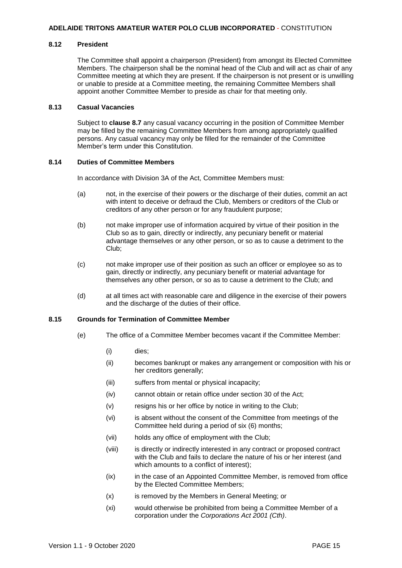## **8.12 President**

The Committee shall appoint a chairperson (President) from amongst its Elected Committee Members. The chairperson shall be the nominal head of the Club and will act as chair of any Committee meeting at which they are present. If the chairperson is not present or is unwilling or unable to preside at a Committee meeting, the remaining Committee Members shall appoint another Committee Member to preside as chair for that meeting only.

## **8.13 Casual Vacancies**

Subject to **clause 8.7** any casual vacancy occurring in the position of Committee Member may be filled by the remaining Committee Members from among appropriately qualified persons. Any casual vacancy may only be filled for the remainder of the Committee Member's term under this Constitution.

#### **8.14 Duties of Committee Members**

In accordance with Division 3A of the Act, Committee Members must:

- (a) not, in the exercise of their powers or the discharge of their duties, commit an act with intent to deceive or defraud the Club, Members or creditors of the Club or creditors of any other person or for any fraudulent purpose;
- (b) not make improper use of information acquired by virtue of their position in the Club so as to gain, directly or indirectly, any pecuniary benefit or material advantage themselves or any other person, or so as to cause a detriment to the Club;
- (c) not make improper use of their position as such an officer or employee so as to gain, directly or indirectly, any pecuniary benefit or material advantage for themselves any other person, or so as to cause a detriment to the Club; and
- (d) at all times act with reasonable care and diligence in the exercise of their powers and the discharge of the duties of their office.

## **8.15 Grounds for Termination of Committee Member**

- (e) The office of a Committee Member becomes vacant if the Committee Member:
	- (i) dies;
	- (ii) becomes bankrupt or makes any arrangement or composition with his or her creditors generally;
	- (iii) suffers from mental or physical incapacity;
	- (iv) cannot obtain or retain office under section 30 of the Act;
	- (v) resigns his or her office by notice in writing to the Club;
	- (vi) is absent without the consent of the Committee from meetings of the Committee held during a period of six (6) months;
	- (vii) holds any office of employment with the Club;
	- (viii) is directly or indirectly interested in any contract or proposed contract with the Club and fails to declare the nature of his or her interest (and which amounts to a conflict of interest);
	- (ix) in the case of an Appointed Committee Member, is removed from office by the Elected Committee Members;
	- (x) is removed by the Members in General Meeting; or
	- (xi) would otherwise be prohibited from being a Committee Member of a corporation under the *Corporations Act 2001 (Cth)*.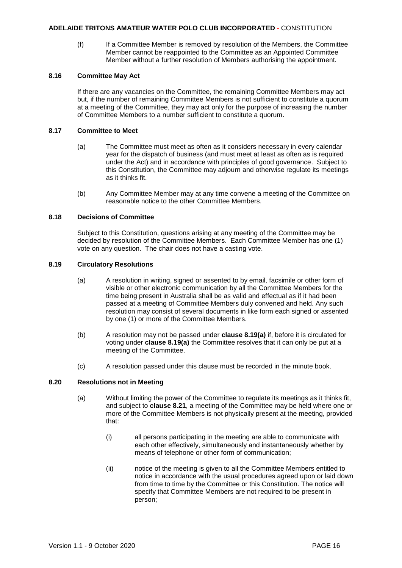(f) If a Committee Member is removed by resolution of the Members, the Committee Member cannot be reappointed to the Committee as an Appointed Committee Member without a further resolution of Members authorising the appointment.

## **8.16 Committee May Act**

If there are any vacancies on the Committee, the remaining Committee Members may act but, if the number of remaining Committee Members is not sufficient to constitute a quorum at a meeting of the Committee, they may act only for the purpose of increasing the number of Committee Members to a number sufficient to constitute a quorum.

## **8.17 Committee to Meet**

- (a) The Committee must meet as often as it considers necessary in every calendar year for the dispatch of business (and must meet at least as often as is required under the Act) and in accordance with principles of good governance. Subject to this Constitution, the Committee may adjourn and otherwise regulate its meetings as it thinks fit.
- (b) Any Committee Member may at any time convene a meeting of the Committee on reasonable notice to the other Committee Members.

## **8.18 Decisions of Committee**

Subject to this Constitution, questions arising at any meeting of the Committee may be decided by **r**esolution of the Committee Members. Each Committee Member has one (1) vote on any question. The chair does not have a casting vote.

## **8.19 Circulatory Resolutions**

- (a) A resolution in writing, signed or assented to by email, facsimile or other form of visible or other electronic communication by all the Committee Members for the time being present in Australia shall be as valid and effectual as if it had been passed at a meeting of Committee Members duly convened and held. Any such resolution may consist of several documents in like form each signed or assented by one (1) or more of the Committee Members.
- (b) A resolution may not be passed under **clause 8.19(a)** if, before it is circulated for voting under **clause 8.19(a)** the Committee resolves that it can only be put at a meeting of the Committee.
- (c) A resolution passed under this clause must be recorded in the minute book.

## **8.20 Resolutions not in Meeting**

- (a) Without limiting the power of the Committee to regulate its meetings as it thinks fit, and subject to **clause 8.21**, a meeting of the Committee may be held where one or more of the Committee Members is not physically present at the meeting, provided that:
	- (i) all persons participating in the meeting are able to communicate with each other effectively, simultaneously and instantaneously whether by means of telephone or other form of communication;
	- (ii) notice of the meeting is given to all the Committee Members entitled to notice in accordance with the usual procedures agreed upon or laid down from time to time by the Committee or this Constitution. The notice will specify that Committee Members are not required to be present in person;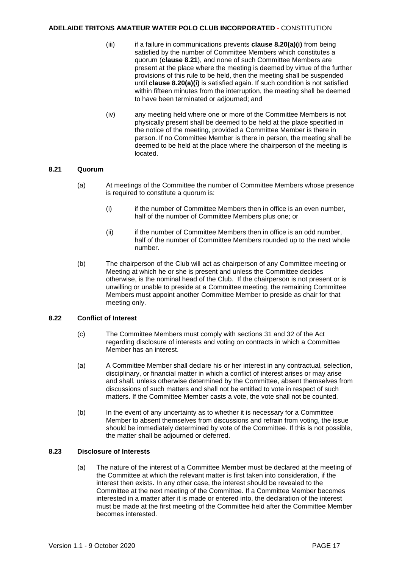- (iii) if a failure in communications prevents **clause 8.20(a)(i)** from being satisfied by the number of Committee Members which constitutes a quorum (**clause 8.21**), and none of such Committee Members are present at the place where the meeting is deemed by virtue of the further provisions of this rule to be held, then the meeting shall be suspended until **clause 8.20(a)(i)** is satisfied again. If such condition is not satisfied within fifteen minutes from the interruption, the meeting shall be deemed to have been terminated or adjourned; and
- (iv) any meeting held where one or more of the Committee Members is not physically present shall be deemed to be held at the place specified in the notice of the meeting, provided a Committee Member is there in person. If no Committee Member is there in person, the meeting shall be deemed to be held at the place where the chairperson of the meeting is located.

## **8.21 Quorum**

- (a) At meetings of the Committee the number of Committee Members whose presence is required to constitute a quorum is:
	- (i) if the number of Committee Members then in office is an even number, half of the number of Committee Members plus one; or
	- (ii) if the number of Committee Members then in office is an odd number, half of the number of Committee Members rounded up to the next whole number.
- (b) The chairperson of the Club will act as chairperson of any Committee meeting or Meeting at which he or she is present and unless the Committee decides otherwise, is the nominal head of the Club. If the chairperson is not present or is unwilling or unable to preside at a Committee meeting, the remaining Committee Members must appoint another Committee Member to preside as chair for that meeting only.

## **8.22 Conflict of Interest**

- (c) The Committee Members must comply with sections 31 and 32 of the Act regarding disclosure of interests and voting on contracts in which a Committee Member has an interest.
- (a) A Committee Member shall declare his or her interest in any contractual, selection, disciplinary, or financial matter in which a conflict of interest arises or may arise and shall, unless otherwise determined by the Committee, absent themselves from discussions of such matters and shall not be entitled to vote in respect of such matters. If the Committee Member casts a vote, the vote shall not be counted.
- (b) In the event of any uncertainty as to whether it is necessary for a Committee Member to absent themselves from discussions and refrain from voting, the issue should be immediately determined by vote of the Committee. If this is not possible, the matter shall be adjourned or deferred.

## **8.23 Disclosure of Interests**

(a) The nature of the interest of a Committee Member must be declared at the meeting of the Committee at which the relevant matter is first taken into consideration, if the interest then exists. In any other case, the interest should be revealed to the Committee at the next meeting of the Committee. If a Committee Member becomes interested in a matter after it is made or entered into, the declaration of the interest must be made at the first meeting of the Committee held after the Committee Member becomes interested.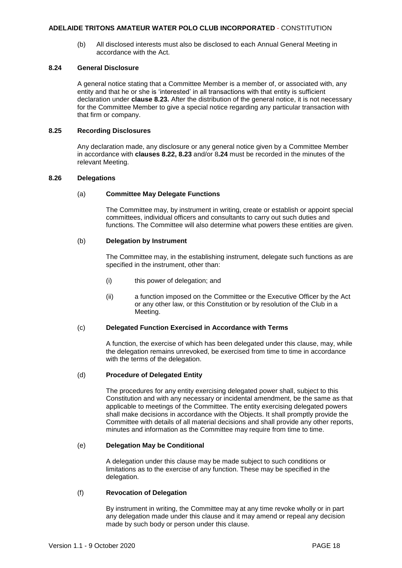(b) All disclosed interests must also be disclosed to each Annual General Meeting in accordance with the Act.

#### **8.24 General Disclosure**

A general notice stating that a Committee Member is a member of, or associated with, any entity and that he or she is 'interested' in all transactions with that entity is sufficient declaration under **clause 8.23.** After the distribution of the general notice, it is not necessary for the Committee Member to give a special notice regarding any particular transaction with that firm or company.

#### **8.25 Recording Disclosures**

Any declaration made, any disclosure or any general notice given by a Committee Member in accordance with **clauses 8.22, 8.23** and/or 8**.24** must be recorded in the minutes of the relevant Meeting.

#### **8.26 Delegations**

#### (a) **Committee May Delegate Functions**

The Committee may, by instrument in writing, create or establish or appoint special committees, individual officers and consultants to carry out such duties and functions. The Committee will also determine what powers these entities are given.

## (b) **Delegation by Instrument**

The Committee may, in the establishing instrument, delegate such functions as are specified in the instrument, other than:

- (i) this power of delegation; and
- (ii) a function imposed on the Committee or the Executive Officer by the Act or any other law, or this Constitution or by resolution of the Club in a Meeting.

## (c) **Delegated Function Exercised in Accordance with Terms**

A function, the exercise of which has been delegated under this clause, may, while the delegation remains unrevoked, be exercised from time to time in accordance with the terms of the delegation.

## (d) **Procedure of Delegated Entity**

The procedures for any entity exercising delegated power shall, subject to this Constitution and with any necessary or incidental amendment, be the same as that applicable to meetings of the Committee. The entity exercising delegated powers shall make decisions in accordance with the Objects. It shall promptly provide the Committee with details of all material decisions and shall provide any other reports, minutes and information as the Committee may require from time to time.

## (e) **Delegation May be Conditional**

A delegation under this clause may be made subject to such conditions or limitations as to the exercise of any function. These may be specified in the delegation.

## (f) **Revocation of Delegation**

By instrument in writing, the Committee may at any time revoke wholly or in part any delegation made under this clause and it may amend or repeal any decision made by such body or person under this clause.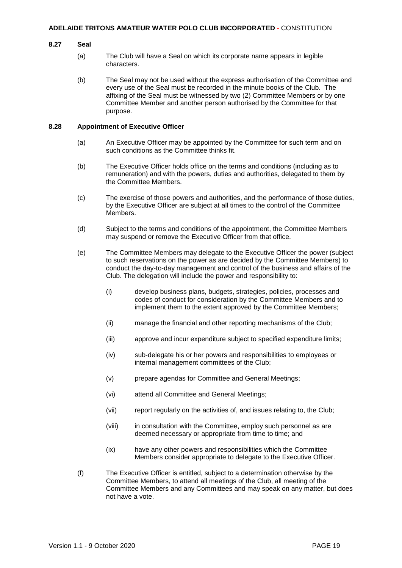#### **8.27 Seal**

- (a) The Club will have a Seal on which its corporate name appears in legible characters.
- (b) The Seal may not be used without the express authorisation of the Committee and every use of the Seal must be recorded in the minute books of the Club. The affixing of the Seal must be witnessed by two (2) Committee Members or by one Committee Member and another person authorised by the Committee for that purpose.

#### **8.28 Appointment of Executive Officer**

- (a) An Executive Officer may be appointed by the Committee for such term and on such conditions as the Committee thinks fit.
- (b) The Executive Officer holds office on the terms and conditions (including as to remuneration) and with the powers, duties and authorities, delegated to them by the Committee Members.
- (c) The exercise of those powers and authorities, and the performance of those duties, by the Executive Officer are subject at all times to the control of the Committee Members.
- (d) Subject to the terms and conditions of the appointment, the Committee Members may suspend or remove the Executive Officer from that office.
- (e) The Committee Members may delegate to the Executive Officer the power (subject to such reservations on the power as are decided by the Committee Members) to conduct the day-to-day management and control of the business and affairs of the Club. The delegation will include the power and responsibility to:
	- (i) develop business plans, budgets, strategies, policies, processes and codes of conduct for consideration by the Committee Members and to implement them to the extent approved by the Committee Members;
	- (ii) manage the financial and other reporting mechanisms of the Club;
	- (iii) approve and incur expenditure subject to specified expenditure limits;
	- (iv) sub-delegate his or her powers and responsibilities to employees or internal management committees of the Club;
	- (v) prepare agendas for Committee and General Meetings;
	- (vi) attend all Committee and General Meetings;
	- (vii) report regularly on the activities of, and issues relating to, the Club;
	- (viii) in consultation with the Committee, employ such personnel as are deemed necessary or appropriate from time to time; and
	- (ix) have any other powers and responsibilities which the Committee Members consider appropriate to delegate to the Executive Officer.
- (f) The Executive Officer is entitled, subject to a determination otherwise by the Committee Members, to attend all meetings of the Club, all meeting of the Committee Members and any Committees and may speak on any matter, but does not have a vote.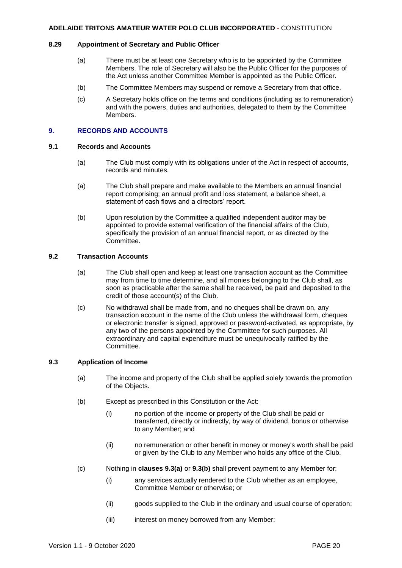## **8.29 Appointment of Secretary and Public Officer**

- (a) There must be at least one Secretary who is to be appointed by the Committee Members. The role of Secretary will also be the Public Officer for the purposes of the Act unless another Committee Member is appointed as the Public Officer.
- (b) The Committee Members may suspend or remove a Secretary from that office.
- (c) A Secretary holds office on the terms and conditions (including as to remuneration) and with the powers, duties and authorities, delegated to them by the Committee Members.

## <span id="page-21-0"></span>**9. RECORDS AND ACCOUNTS**

## **9.1 Records and Accounts**

- (a) The Club must comply with its obligations under of the Act in respect of accounts, records and minutes.
- (a) The Club shall prepare and make available to the Members an annual financial report comprising; an annual profit and loss statement, a balance sheet, a statement of cash flows and a directors' report.
- (b) Upon resolution by the Committee a qualified independent auditor may be appointed to provide external verification of the financial affairs of the Club, specifically the provision of an annual financial report, or as directed by the Committee.

## **9.2 Transaction Accounts**

- (a) The Club shall open and keep at least one transaction account as the Committee may from time to time determine, and all monies belonging to the Club shall, as soon as practicable after the same shall be received, be paid and deposited to the credit of those account(s) of the Club.
- (c) No withdrawal shall be made from, and no cheques shall be drawn on, any transaction account in the name of the Club unless the withdrawal form, cheques or electronic transfer is signed, approved or password-activated, as appropriate, by any two of the persons appointed by the Committee for such purposes. All extraordinary and capital expenditure must be unequivocally ratified by the Committee.

## **9.3 Application of Income**

- (a) The income and property of the Club shall be applied solely towards the promotion of the Objects.
- (b) Except as prescribed in this Constitution or the Act:
	- (i) no portion of the income or property of the Club shall be paid or transferred, directly or indirectly, by way of dividend, bonus or otherwise to any Member; and
	- (ii) no remuneration or other benefit in money or money's worth shall be paid or given by the Club to any Member who holds any office of the Club.
- (c) Nothing in **clauses 9.3(a)** or **9.3(b)** shall prevent payment to any Member for:
	- (i) any services actually rendered to the Club whether as an employee, Committee Member or otherwise; or
	- (ii) goods supplied to the Club in the ordinary and usual course of operation;
	- (iii) interest on money borrowed from any Member;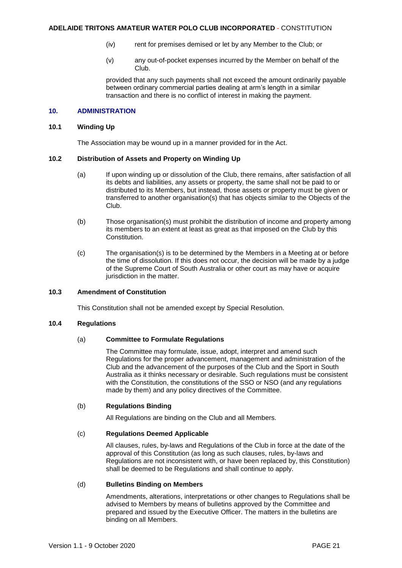- (iv) rent for premises demised or let by any Member to the Club; or
- (v) any out-of-pocket expenses incurred by the Member on behalf of the Club.

provided that any such payments shall not exceed the amount ordinarily payable between ordinary commercial parties dealing at arm's length in a similar transaction and there is no conflict of interest in making the payment.

## <span id="page-22-0"></span>**10. ADMINISTRATION**

#### **10.1 Winding Up**

The Association may be wound up in a manner provided for in the Act.

## **10.2 Distribution of Assets and Property on Winding Up**

- (a) If upon winding up or dissolution of the Club, there remains, after satisfaction of all its debts and liabilities, any assets or property, the same shall not be paid to or distributed to its Members, but instead, those assets or property must be given or transferred to another organisation(s) that has objects similar to the Objects of the Club.
- (b) Those organisation(s) must prohibit the distribution of income and property among its members to an extent at least as great as that imposed on the Club by this Constitution.
- (c) The organisation(s) is to be determined by the Members in a Meeting at or before the time of dissolution. If this does not occur, the decision will be made by a judge of the Supreme Court of South Australia or other court as may have or acquire jurisdiction in the matter.

## **10.3 Amendment of Constitution**

This Constitution shall not be amended except by Special Resolution.

#### **10.4 Regulations**

## (a) **Committee to Formulate Regulations**

The Committee may formulate, issue, adopt, interpret and amend such Regulations for the proper advancement, management and administration of the Club and the advancement of the purposes of the Club and the Sport in South Australia as it thinks necessary or desirable. Such regulations must be consistent with the Constitution, the constitutions of the SSO or NSO (and any regulations made by them) and any policy directives of the Committee.

## (b) **Regulations Binding**

All Regulations are binding on the Club and all Members.

#### (c) **Regulations Deemed Applicable**

All clauses, rules, by-laws and Regulations of the Club in force at the date of the approval of this Constitution (as long as such clauses, rules, by-laws and Regulations are not inconsistent with, or have been replaced by, this Constitution) shall be deemed to be Regulations and shall continue to apply.

## (d) **Bulletins Binding on Members**

Amendments, alterations, interpretations or other changes to Regulations shall be advised to Members by means of bulletins approved by the Committee and prepared and issued by the Executive Officer. The matters in the bulletins are binding on all Members.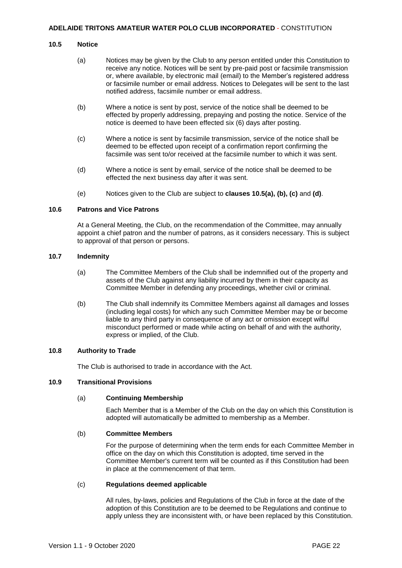### **10.5 Notice**

- (a) Notices may be given by the Club to any person entitled under this Constitution to receive any notice. Notices will be sent by pre-paid post or facsimile transmission or, where available, by electronic mail (email) to the Member's registered address or facsimile number or email address. Notices to Delegates will be sent to the last notified address, facsimile number or email address.
- (b) Where a notice is sent by post, service of the notice shall be deemed to be effected by properly addressing, prepaying and posting the notice. Service of the notice is deemed to have been effected six (6) days after posting.
- (c) Where a notice is sent by facsimile transmission, service of the notice shall be deemed to be effected upon receipt of a confirmation report confirming the facsimile was sent to/or received at the facsimile number to which it was sent.
- (d) Where a notice is sent by email, service of the notice shall be deemed to be effected the next business day after it was sent.
- (e) Notices given to the Club are subject to **clauses 10.5(a), (b), (c)** and **(d)**.

## **10.6 Patrons and Vice Patrons**

At a General Meeting, the Club, on the recommendation of the Committee, may annually appoint a chief patron and the number of patrons, as it considers necessary. This is subject to approval of that person or persons.

## **10.7 Indemnity**

- (a) The Committee Members of the Club shall be indemnified out of the property and assets of the Club against any liability incurred by them in their capacity as Committee Member in defending any proceedings, whether civil or criminal.
- (b) The Club shall indemnify its Committee Members against all damages and losses (including legal costs) for which any such Committee Member may be or become liable to any third party in consequence of any act or omission except wilful misconduct performed or made while acting on behalf of and with the authority, express or implied, of the Club.

## **10.8 Authority to Trade**

The Club is authorised to trade in accordance with the Act.

## **10.9 Transitional Provisions**

#### (a) **Continuing Membership**

Each Member that is a Member of the Club on the day on which this Constitution is adopted will automatically be admitted to membership as a Member.

#### (b) **Committee Members**

For the purpose of determining when the term ends for each Committee Member in office on the day on which this Constitution is adopted, time served in the Committee Member's current term will be counted as if this Constitution had been in place at the commencement of that term.

## (c) **Regulations deemed applicable**

All rules, by-laws, policies and Regulations of the Club in force at the date of the adoption of this Constitution are to be deemed to be Regulations and continue to apply unless they are inconsistent with, or have been replaced by this Constitution.